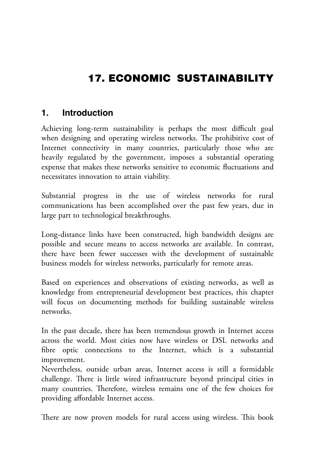### **1. Introduction**

Achieving long-term sustainability is perhaps the most difficult goal when designing and operating wireless networks. The prohibitive cost of Internet connectivity in many countries, particularly those who are heavily regulated by the government, imposes a substantial operating expense that makes these networks sensitive to economic fluctuations and necessitates innovation to attain viability.

Substantial progress in the use of wireless networks for rural communications has been accomplished over the past few years, due in large part to technological breakthroughs.

Long-distance links have been constructed, high bandwidth designs are possible and secure means to access networks are available. In contrast, there have been fewer successes with the development of sustainable business models for wireless networks, particularly for remote areas.

Based on experiences and observations of existing networks, as well as knowledge from entrepreneurial development best practices, this chapter will focus on documenting methods for building sustainable wireless networks.

In the past decade, there has been tremendous growth in Internet access across the world. Most cities now have wireless or DSL networks and fibre optic connections to the Internet, which is a substantial improvement.

Nevertheless, outside urban areas, Internet access is still a formidable challenge. There is little wired infrastructure beyond principal cities in many countries. Therefore, wireless remains one of the few choices for providing affordable Internet access.

There are now proven models for rural access using wireless. This book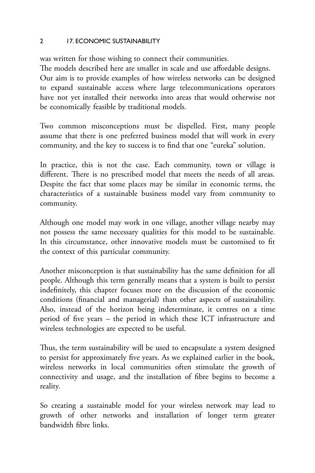was written for those wishing to connect their communities.

The models described here are smaller in scale and use affordable designs. Our aim is to provide examples of how wireless networks can be designed to expand sustainable access where large telecommunications operators have not yet installed their networks into areas that would otherwise not be economically feasible by traditional models.

Two common misconceptions must be dispelled. First, many people assume that there is one preferred business model that will work in every community, and the key to success is to find that one "eureka" solution.

In practice, this is not the case. Each community, town or village is different. There is no prescribed model that meets the needs of all areas. Despite the fact that some places may be similar in economic terms, the characteristics of a sustainable business model vary from community to community.

Although one model may work in one village, another village nearby may not possess the same necessary qualities for this model to be sustainable. In this circumstance, other innovative models must be customised to fit the context of this particular community.

Another misconception is that sustainability has the same definition for all people. Although this term generally means that a system is built to persist indefinitely, this chapter focuses more on the discussion of the economic conditions (financial and managerial) than other aspects of sustainability. Also, instead of the horizon being indeterminate, it centres on a time period of five years – the period in which these ICT infrastructure and wireless technologies are expected to be useful.

Thus, the term sustainability will be used to encapsulate a system designed to persist for approximately five years. As we explained earlier in the book, wireless networks in local communities often stimulate the growth of connectivity and usage, and the installation of fibre begins to become a reality.

So creating a sustainable model for your wireless network may lead to growth of other networks and installation of longer term greater bandwidth fibre links.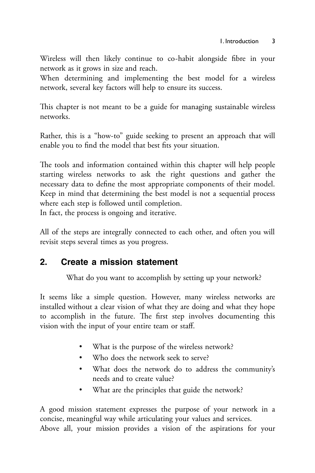Wireless will then likely continue to co-habit alongside fibre in your network as it grows in size and reach.

When determining and implementing the best model for a wireless network, several key factors will help to ensure its success.

This chapter is not meant to be a guide for managing sustainable wireless networks.

Rather, this is a "how-to" guide seeking to present an approach that will enable you to find the model that best fits your situation.

The tools and information contained within this chapter will help people starting wireless networks to ask the right questions and gather the necessary data to define the most appropriate components of their model. Keep in mind that determining the best model is not a sequential process where each step is followed until completion.

In fact, the process is ongoing and iterative.

All of the steps are integrally connected to each other, and often you will revisit steps several times as you progress.

### **2. Create a mission statement**

What do you want to accomplish by setting up your network?

It seems like a simple question. However, many wireless networks are installed without a clear vision of what they are doing and what they hope to accomplish in the future. The first step involves documenting this vision with the input of your entire team or staff.

- What is the purpose of the wireless network?
- Who does the network seek to serve?
- What does the network do to address the community's needs and to create value?
- What are the principles that guide the network?

A good mission statement expresses the purpose of your network in a concise, meaningful way while articulating your values and services. Above all, your mission provides a vision of the aspirations for your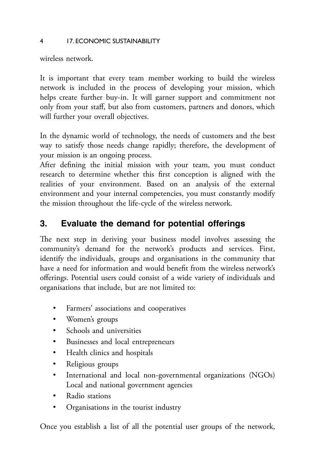wireless network.

It is important that every team member working to build the wireless network is included in the process of developing your mission, which helps create further buy-in. It will garner support and commitment not only from your staff, but also from customers, partners and donors, which will further your overall objectives.

In the dynamic world of technology, the needs of customers and the best way to satisfy those needs change rapidly; therefore, the development of your mission is an ongoing process.

After defining the initial mission with your team, you must conduct research to determine whether this first conception is aligned with the realities of your environment. Based on an analysis of the external environment and your internal competencies, you must constantly modify the mission throughout the life-cycle of the wireless network.

## **3. Evaluate the demand for potential offerings**

The next step in deriving your business model involves assessing the community's demand for the network's products and services. First, identify the individuals, groups and organisations in the community that have a need for information and would benefit from the wireless network's offerings. Potential users could consist of a wide variety of individuals and organisations that include, but are not limited to:

- Farmers' associations and cooperatives
- Women's groups
- Schools and universities
- Businesses and local entrepreneurs
- Health clinics and hospitals
- Religious groups
- International and local non-governmental organizations (NGOs) Local and national government agencies
- Radio stations
- Organisations in the tourist industry

Once you establish a list of all the potential user groups of the network,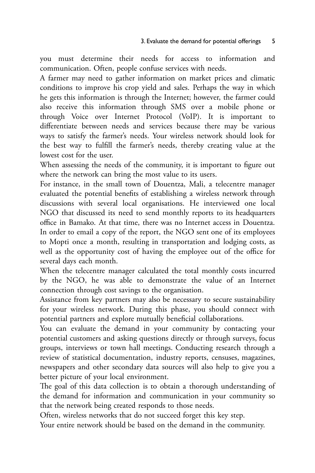you must determine their needs for access to information and communication. Often, people confuse services with needs.

A farmer may need to gather information on market prices and climatic conditions to improve his crop yield and sales. Perhaps the way in which he gets this information is through the Internet; however, the farmer could also receive this information through SMS over a mobile phone or through Voice over Internet Protocol (VoIP). It is important to differentiate between needs and services because there may be various ways to satisfy the farmer's needs. Your wireless network should look for the best way to fulfill the farmer's needs, thereby creating value at the lowest cost for the user.

When assessing the needs of the community, it is important to figure out where the network can bring the most value to its users.

For instance, in the small town of Douentza, Mali, a telecentre manager evaluated the potential benefits of establishing a wireless network through discussions with several local organisations. He interviewed one local NGO that discussed its need to send monthly reports to its headquarters office in Bamako. At that time, there was no Internet access in Douentza. In order to email a copy of the report, the NGO sent one of its employees to Mopti once a month, resulting in transportation and lodging costs, as well as the opportunity cost of having the employee out of the office for several days each month.

When the telecentre manager calculated the total monthly costs incurred by the NGO, he was able to demonstrate the value of an Internet connection through cost savings to the organisation.

Assistance from key partners may also be necessary to secure sustainability for your wireless network. During this phase, you should connect with potential partners and explore mutually beneficial collaborations.

You can evaluate the demand in your community by contacting your potential customers and asking questions directly or through surveys, focus groups, interviews or town hall meetings. Conducting research through a review of statistical documentation, industry reports, censuses, magazines, newspapers and other secondary data sources will also help to give you a better picture of your local environment.

The goal of this data collection is to obtain a thorough understanding of the demand for information and communication in your community so that the network being created responds to those needs.

Often, wireless networks that do not succeed forget this key step.

Your entire network should be based on the demand in the community.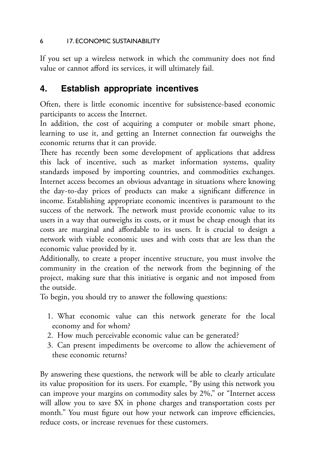If you set up a wireless network in which the community does not find value or cannot afford its services, it will ultimately fail.

## **4. Establish appropriate incentives**

Often, there is little economic incentive for subsistence-based economic participants to access the Internet.

In addition, the cost of acquiring a computer or mobile smart phone, learning to use it, and getting an Internet connection far outweighs the economic returns that it can provide.

There has recently been some development of applications that address this lack of incentive, such as market information systems, quality standards imposed by importing countries, and commodities exchanges. Internet access becomes an obvious advantage in situations where knowing the day-to-day prices of products can make a significant difference in income. Establishing appropriate economic incentives is paramount to the success of the network. The network must provide economic value to its users in a way that outweighs its costs, or it must be cheap enough that its costs are marginal and affordable to its users. It is crucial to design a network with viable economic uses and with costs that are less than the economic value provided by it.

Additionally, to create a proper incentive structure, you must involve the community in the creation of the network from the beginning of the project, making sure that this initiative is organic and not imposed from the outside.

To begin, you should try to answer the following questions:

- 1. What economic value can this network generate for the local economy and for whom?
- 2. How much perceivable economic value can be generated?
- 3. Can present impediments be overcome to allow the achievement of these economic returns?

By answering these questions, the network will be able to clearly articulate its value proposition for its users. For example, "By using this network you can improve your margins on commodity sales by 2%," or "Internet access will allow you to save \$X in phone charges and transportation costs per month." You must figure out how your network can improve efficiencies, reduce costs, or increase revenues for these customers.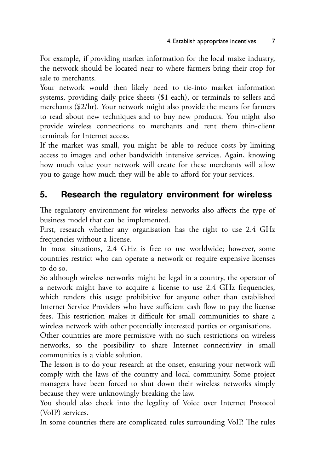For example, if providing market information for the local maize industry, the network should be located near to where farmers bring their crop for sale to merchants.

Your network would then likely need to tie-into market information systems, providing daily price sheets (\$1 each), or terminals to sellers and merchants (\$2/hr). Your network might also provide the means for farmers to read about new techniques and to buy new products. You might also provide wireless connections to merchants and rent them thin-client terminals for Internet access.

If the market was small, you might be able to reduce costs by limiting access to images and other bandwidth intensive services. Again, knowing how much value your network will create for these merchants will allow you to gauge how much they will be able to afford for your services.

### **5. Research the regulatory environment for wireless**

The regulatory environment for wireless networks also affects the type of business model that can be implemented.

First, research whether any organisation has the right to use 2.4 GHz frequencies without a license.

In most situations, 2.4 GHz is free to use worldwide; however, some countries restrict who can operate a network or require expensive licenses to do so.

So although wireless networks might be legal in a country, the operator of a network might have to acquire a license to use 2.4 GHz frequencies, which renders this usage prohibitive for anyone other than established Internet Service Providers who have sufficient cash flow to pay the license fees. This restriction makes it difficult for small communities to share a wireless network with other potentially interested parties or organisations.

Other countries are more permissive with no such restrictions on wireless networks, so the possibility to share Internet connectivity in small communities is a viable solution.

The lesson is to do your research at the onset, ensuring your network will comply with the laws of the country and local community. Some project managers have been forced to shut down their wireless networks simply because they were unknowingly breaking the law.

You should also check into the legality of Voice over Internet Protocol (VoIP) services.

In some countries there are complicated rules surrounding VoIP. The rules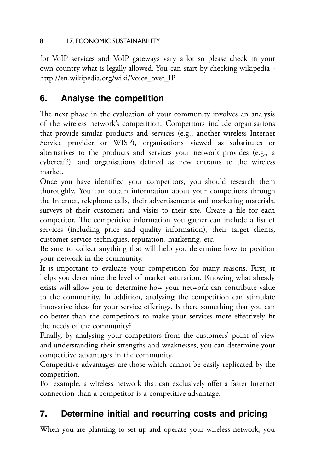for VoIP services and VoIP gateways vary a lot so please check in your own country what is legally allowed. You can start by checking wikipedia [http://en.wikipedia.org/wiki/Voice\\_over\\_IP](http://en.wikipedia.org/wiki/Voice_over_IP)

## **6. Analyse the competition**

The next phase in the evaluation of your community involves an analysis of the wireless network's competition. Competitors include organisations that provide similar products and services (e.g., another wireless Internet Service provider or WISP), organisations viewed as substitutes or alternatives to the products and services your network provides (e.g., a cybercafé), and organisations defined as new entrants to the wireless market.

Once you have identified your competitors, you should research them thoroughly. You can obtain information about your competitors through the Internet, telephone calls, their advertisements and marketing materials, surveys of their customers and visits to their site. Create a file for each competitor. The competitive information you gather can include a list of services (including price and quality information), their target clients, customer service techniques, reputation, marketing, etc.

Be sure to collect anything that will help you determine how to position your network in the community.

It is important to evaluate your competition for many reasons. First, it helps you determine the level of market saturation. Knowing what already exists will allow you to determine how your network can contribute value to the community. In addition, analysing the competition can stimulate innovative ideas for your service offerings. Is there something that you can do better than the competitors to make your services more effectively fit the needs of the community?

Finally, by analysing your competitors from the customers' point of view and understanding their strengths and weaknesses, you can determine your competitive advantages in the community.

Competitive advantages are those which cannot be easily replicated by the competition.

For example, a wireless network that can exclusively offer a faster Internet connection than a competitor is a competitive advantage.

## **7. Determine initial and recurring costs and pricing**

When you are planning to set up and operate your wireless network, you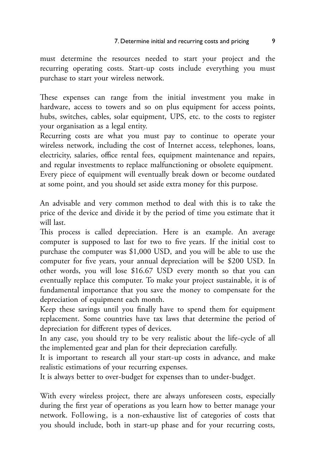must determine the resources needed to start your project and the recurring operating costs. Start-up costs include everything you must purchase to start your wireless network.

These expenses can range from the initial investment you make in hardware, access to towers and so on plus equipment for access points, hubs, switches, cables, solar equipment, UPS, etc. to the costs to register your organisation as a legal entity.

Recurring costs are what you must pay to continue to operate your wireless network, including the cost of Internet access, telephones, loans, electricity, salaries, office rental fees, equipment maintenance and repairs, and regular investments to replace malfunctioning or obsolete equipment. Every piece of equipment will eventually break down or become outdated

at some point, and you should set aside extra money for this purpose.

An advisable and very common method to deal with this is to take the price of the device and divide it by the period of time you estimate that it will last.

This process is called depreciation. Here is an example. An average computer is supposed to last for two to five years. If the initial cost to purchase the computer was \$1,000 USD, and you will be able to use the computer for five years, your annual depreciation will be \$200 USD. In other words, you will lose \$16.67 USD every month so that you can eventually replace this computer. To make your project sustainable, it is of fundamental importance that you save the money to compensate for the depreciation of equipment each month.

Keep these savings until you finally have to spend them for equipment replacement. Some countries have tax laws that determine the period of depreciation for different types of devices.

In any case, you should try to be very realistic about the life-cycle of all the implemented gear and plan for their depreciation carefully.

It is important to research all your start-up costs in advance, and make realistic estimations of your recurring expenses.

It is always better to over-budget for expenses than to under-budget.

With every wireless project, there are always unforeseen costs, especially during the first year of operations as you learn how to better manage your network. Following, is a non-exhaustive list of categories of costs that you should include, both in start-up phase and for your recurring costs,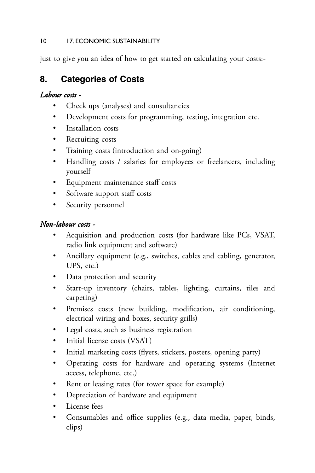just to give you an idea of how to get started on calculating your costs:-

## **8. Categories of Costs**

### *Labour costs -*

- Check ups (analyses) and consultancies
- Development costs for programming, testing, integration etc.
- Installation costs
- Recruiting costs
- Training costs (introduction and on-going)
- Handling costs / salaries for employees or freelancers, including yourself
- Equipment maintenance staff costs
- Software support staff costs
- Security personnel

### *Non-labour costs -*

- Acquisition and production costs (for hardware like PCs, VSAT, radio link equipment and software)
- Ancillary equipment (e.g., switches, cables and cabling, generator, UPS, etc.)
- Data protection and security
- Start-up inventory (chairs, tables, lighting, curtains, tiles and carpeting)
- Premises costs (new building, modification, air conditioning, electrical wiring and boxes, security grills)
- Legal costs, such as business registration
- Initial license costs (VSAT)
- Initial marketing costs (flyers, stickers, posters, opening party)
- Operating costs for hardware and operating systems (Internet access, telephone, etc.)
- Rent or leasing rates (for tower space for example)
- Depreciation of hardware and equipment
- License fees
- Consumables and office supplies (e.g., data media, paper, binds, clips)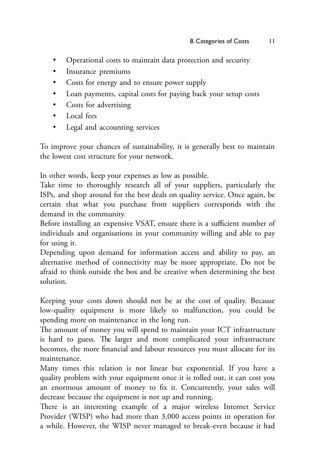- Operational costs to maintain data protection and security
- Insurance premiums
- Costs for energy and to ensure power supply
- Loan payments, capital costs for paying back your setup costs
- Costs for advertising
- Local fees
- Legal and accounting services

To improve your chances of sustainability, it is generally best to maintain the lowest cost structure for your network.

In other words, keep your expenses as low as possible.

Take time to thoroughly research all of your suppliers, particularly the ISPs, and shop around for the best deals on quality service. Once again, be certain that what you purchase from suppliers corresponds with the demand in the community.

Before installing an expensive VSAT, ensure there is a sufficient number of individuals and organisations in your community willing and able to pay for using it.

Depending upon demand for information access and ability to pay, an alternative method of connectivity may be more appropriate. Do not be afraid to think outside the box and be creative when determining the best solution.

Keeping your costs down should not be at the cost of quality. Because low-quality equipment is more likely to malfunction, you could be spending more on maintenance in the long run.

The amount of money you will spend to maintain your ICT infrastructure is hard to guess. The larger and more complicated your infrastructure becomes, the more financial and labour resources you must allocate for its maintenance.

Many times this relation is not linear but exponential. If you have a quality problem with your equipment once it is rolled out, it can cost you an enormous amount of money to fix it. Concurrently, your sales will decrease because the equipment is not up and running.

There is an interesting example of a major wireless Internet Service Provider (WISP) who had more than 3,000 access points in operation for a while. However, the WISP never managed to break-even because it had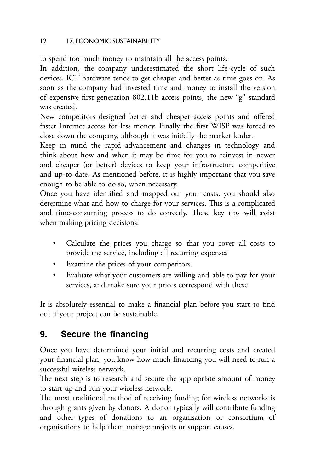to spend too much money to maintain all the access points.

In addition, the company underestimated the short life-cycle of such devices. ICT hardware tends to get cheaper and better as time goes on. As soon as the company had invested time and money to install the version of expensive first generation 802.11b access points, the new "g" standard was created.

New competitors designed better and cheaper access points and offered faster Internet access for less money. Finally the first WISP was forced to close down the company, although it was initially the market leader.

Keep in mind the rapid advancement and changes in technology and think about how and when it may be time for you to reinvest in newer and cheaper (or better) devices to keep your infrastructure competitive and up-to-date. As mentioned before, it is highly important that you save enough to be able to do so, when necessary.

Once you have identified and mapped out your costs, you should also determine what and how to charge for your services. This is a complicated and time-consuming process to do correctly. These key tips will assist when making pricing decisions:

- Calculate the prices you charge so that you cover all costs to provide the service, including all recurring expenses
- Examine the prices of your competitors.
- Evaluate what your customers are willing and able to pay for your services, and make sure your prices correspond with these

It is absolutely essential to make a financial plan before you start to find out if your project can be sustainable.

## **9. Secure the financing**

Once you have determined your initial and recurring costs and created your financial plan, you know how much financing you will need to run a successful wireless network.

The next step is to research and secure the appropriate amount of money to start up and run your wireless network.

The most traditional method of receiving funding for wireless networks is through grants given by donors. A donor typically will contribute funding and other types of donations to an organisation or consortium of organisations to help them manage projects or support causes.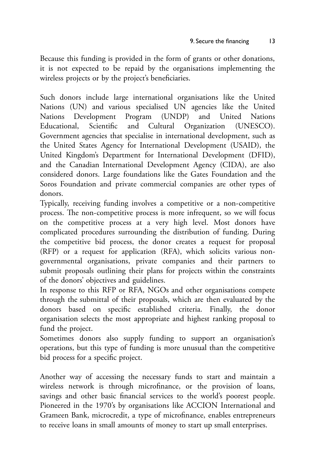Because this funding is provided in the form of grants or other donations, it is not expected to be repaid by the organisations implementing the wireless projects or by the project's beneficiaries.

Such donors include large international organisations like the United Nations (UN) and various specialised UN agencies like the United Nations Development Program (UNDP) and United Nations Educational, Scientific and Cultural Organization (UNESCO). Government agencies that specialise in international development, such as the United States Agency for International Development (USAID), the United Kingdom's Department for International Development (DFID), and the Canadian International Development Agency (CIDA), are also considered donors. Large foundations like the Gates Foundation and the Soros Foundation and private commercial companies are other types of donors.

Typically, receiving funding involves a competitive or a non-competitive process. The non-competitive process is more infrequent, so we will focus on the competitive process at a very high level. Most donors have complicated procedures surrounding the distribution of funding. During the competitive bid process, the donor creates a request for proposal (RFP) or a request for application (RFA), which solicits various nongovernmental organisations, private companies and their partners to submit proposals outlining their plans for projects within the constraints of the donors' objectives and guidelines.

In response to this RFP or RFA, NGOs and other organisations compete through the submittal of their proposals, which are then evaluated by the donors based on specific established criteria. Finally, the donor organisation selects the most appropriate and highest ranking proposal to fund the project.

Sometimes donors also supply funding to support an organisation's operations, but this type of funding is more unusual than the competitive bid process for a specific project.

Another way of accessing the necessary funds to start and maintain a wireless network is through microfinance, or the provision of loans, savings and other basic financial services to the world's poorest people. Pioneered in the 1970's by organisations like ACCION International and Grameen Bank, microcredit, a type of microfinance, enables entrepreneurs to receive loans in small amounts of money to start up small enterprises.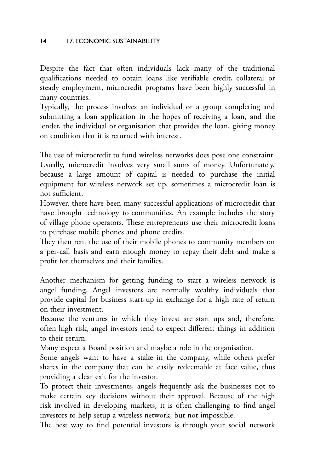Despite the fact that often individuals lack many of the traditional qualifications needed to obtain loans like verifiable credit, collateral or steady employment, microcredit programs have been highly successful in many countries.

Typically, the process involves an individual or a group completing and submitting a loan application in the hopes of receiving a loan, and the lender, the individual or organisation that provides the loan, giving money on condition that it is returned with interest.

The use of microcredit to fund wireless networks does pose one constraint. Usually, microcredit involves very small sums of money. Unfortunately, because a large amount of capital is needed to purchase the initial equipment for wireless network set up, sometimes a microcredit loan is not sufficient.

However, there have been many successful applications of microcredit that have brought technology to communities. An example includes the story of village phone operators. These entrepreneurs use their microcredit loans to purchase mobile phones and phone credits.

They then rent the use of their mobile phones to community members on a per-call basis and earn enough money to repay their debt and make a profit for themselves and their families.

Another mechanism for getting funding to start a wireless network is angel funding. Angel investors are normally wealthy individuals that provide capital for business start-up in exchange for a high rate of return on their investment.

Because the ventures in which they invest are start ups and, therefore, often high risk, angel investors tend to expect different things in addition to their return.

Many expect a Board position and maybe a role in the organisation.

Some angels want to have a stake in the company, while others prefer shares in the company that can be easily redeemable at face value, thus providing a clear exit for the investor.

To protect their investments, angels frequently ask the businesses not to make certain key decisions without their approval. Because of the high risk involved in developing markets, it is often challenging to find angel investors to help setup a wireless network, but not impossible.

The best way to find potential investors is through your social network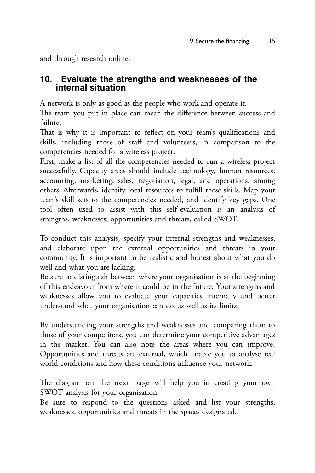and through research online.

### **10. Evaluate the strengths and weaknesses of the internal situation**

A network is only as good as the people who work and operate it.

The team you put in place can mean the difference between success and failure.

That is why it is important to reflect on your team's qualifications and skills, including those of staff and volunteers, in comparison to the competencies needed for a wireless project.

First, make a list of all the competencies needed to run a wireless project successfully. Capacity areas should include technology, human resources, accounting, marketing, sales, negotiation, legal, and operations, among others. Afterwards, identify local resources to fulfill these skills. Map your team's skill sets to the competencies needed, and identify key gaps. One tool often used to assist with this self-evaluation is an analysis of strengths, weaknesses, opportunities and threats, called SWOT.

To conduct this analysis, specify your internal strengths and weaknesses, and elaborate upon the external opportunities and threats in your community. It is important to be realistic and honest about what you do well and what you are lacking.

Be sure to distinguish between where your organisation is at the beginning of this endeavour from where it could be in the future. Your strengths and weaknesses allow you to evaluate your capacities internally and better understand what your organisation can do, as well as its limits.

By understanding your strengths and weaknesses and comparing them to those of your competitors, you can determine your competitive advantages in the market. You can also note the areas where you can improve. Opportunities and threats are external, which enable you to analyse real world conditions and how these conditions influence your network.

The diagram on the next page will help you in creating your own SWOT analysis for your organisation.

Be sure to respond to the questions asked and list your strengths, weaknesses, opportunities and threats in the spaces designated.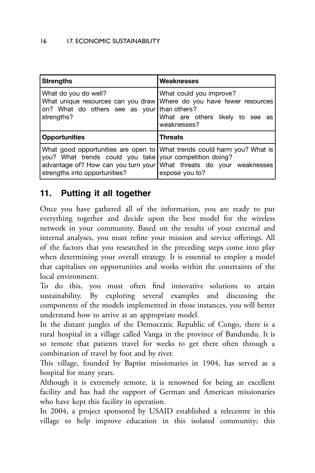| <b>Strengths</b>                                                                         | Weaknesses                                                                                                                                                       |
|------------------------------------------------------------------------------------------|------------------------------------------------------------------------------------------------------------------------------------------------------------------|
| What do you do well?<br>on? What do others see as your than others?<br>strengths?        | What could you improve?<br>What unique resources can you draw Where do you have fewer resources<br>What are others likely to see as<br>weaknesses?               |
| <b>Opportunities</b>                                                                     | <b>Threats</b>                                                                                                                                                   |
| you? What trends could you take your competition doing?<br>strengths into opportunities? | What good opportunities are open to What trends could harm you? What is<br>advantage of? How can you turn your What threats do your weaknesses<br>expose you to? |

### **11. Putting it all together**

Once you have gathered all of the information, you are ready to put everything together and decide upon the best model for the wireless network in your community. Based on the results of your external and internal analyses, you must refine your mission and service offerings. All of the factors that you researched in the preceding steps come into play when determining your overall strategy. It is essential to employ a model that capitalises on opportunities and works within the constraints of the local environment.

To do this, you must often find innovative solutions to attain sustainability. By exploring several examples and discussing the components of the models implemented in those instances, you will better understand how to arrive at an appropriate model.

In the distant jungles of the Democratic Republic of Congo, there is a rural hospital in a village called Vanga in the province of Bandundu. It is so remote that patients travel for weeks to get there often through a combination of travel by foot and by river.

This village, founded by Baptist missionaries in 1904, has served as a hospital for many years.

Although it is extremely remote, it is renowned for being an excellent facility and has had the support of German and American missionaries who have kept this facility in operation.

In 2004, a project sponsored by USAID established a telecentre in this village to help improve education in this isolated community; this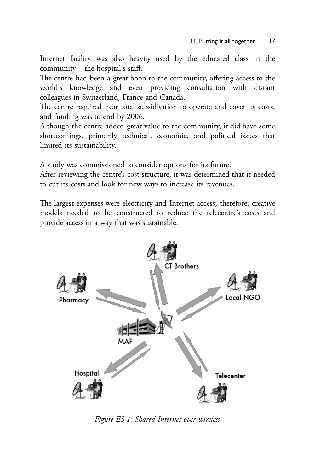Internet facility was also heavily used by the educated class in the community – the hospital's staff.

The centre had been a great boon to the community, offering access to the world's knowledge and even providing consultation with distant colleagues in Switzerland, France and Canada.

The centre required near total subsidisation to operate and cover its costs, and funding was to end by 2006.

Although the centre added great value to the community, it did have some shortcomings, primarily technical, economic, and political issues that limited its sustainability.

A study was commissioned to consider options for its future.

After reviewing the centre's cost structure, it was determined that it needed to cut its costs and look for new ways to increase its revenues.

The largest expenses were electricity and Internet access; therefore, creative models needed to be constructed to reduce the telecentre's costs and provide access in a way that was sustainable.



*Figure ES 1: Shared Internet over wireless*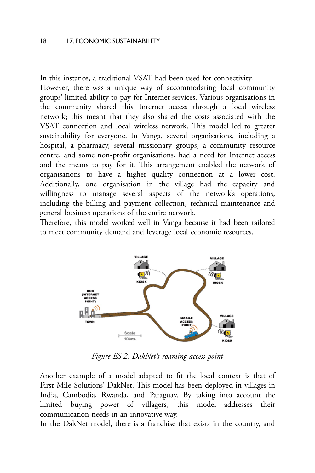In this instance, a traditional VSAT had been used for connectivity.

However, there was a unique way of accommodating local community groups' limited ability to pay for Internet services. Various organisations in the community shared this Internet access through a local wireless network; this meant that they also shared the costs associated with the VSAT connection and local wireless network. This model led to greater sustainability for everyone. In Vanga, several organisations, including a hospital, a pharmacy, several missionary groups, a community resource centre, and some non-profit organisations, had a need for Internet access and the means to pay for it. This arrangement enabled the network of organisations to have a higher quality connection at a lower cost. Additionally, one organisation in the village had the capacity and willingness to manage several aspects of the network's operations, including the billing and payment collection, technical maintenance and general business operations of the entire network.

Therefore, this model worked well in Vanga because it had been tailored to meet community demand and leverage local economic resources.



*Figure ES 2: DakNet's roaming access point*

Another example of a model adapted to fit the local context is that of First Mile Solutions' DakNet. This model has been deployed in villages in India, Cambodia, Rwanda, and Paraguay. By taking into account the limited buying power of villagers, this model addresses their communication needs in an innovative way.

In the DakNet model, there is a franchise that exists in the country, and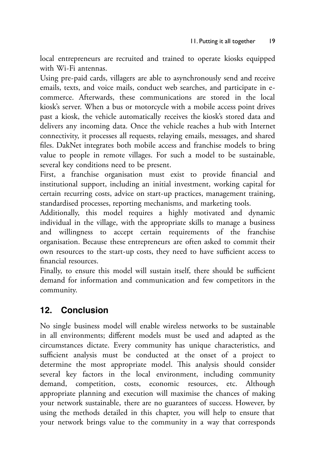local entrepreneurs are recruited and trained to operate kiosks equipped with Wi-Fi antennas.

Using pre-paid cards, villagers are able to asynchronously send and receive emails, texts, and voice mails, conduct web searches, and participate in ecommerce. Afterwards, these communications are stored in the local kiosk's server. When a bus or motorcycle with a mobile access point drives past a kiosk, the vehicle automatically receives the kiosk's stored data and delivers any incoming data. Once the vehicle reaches a hub with Internet connectivity, it processes all requests, relaying emails, messages, and shared files. DakNet integrates both mobile access and franchise models to bring value to people in remote villages. For such a model to be sustainable, several key conditions need to be present.

First, a franchise organisation must exist to provide financial and institutional support, including an initial investment, working capital for certain recurring costs, advice on start-up practices, management training, standardised processes, reporting mechanisms, and marketing tools.

Additionally, this model requires a highly motivated and dynamic individual in the village, with the appropriate skills to manage a business and willingness to accept certain requirements of the franchise organisation. Because these entrepreneurs are often asked to commit their own resources to the start-up costs, they need to have sufficient access to financial resources.

Finally, to ensure this model will sustain itself, there should be sufficient demand for information and communication and few competitors in the community.

## **12. Conclusion**

No single business model will enable wireless networks to be sustainable in all environments; different models must be used and adapted as the circumstances dictate. Every community has unique characteristics, and sufficient analysis must be conducted at the onset of a project to determine the most appropriate model. This analysis should consider several key factors in the local environment, including community demand, competition, costs, economic resources, etc. Although appropriate planning and execution will maximise the chances of making your network sustainable, there are no guarantees of success. However, by using the methods detailed in this chapter, you will help to ensure that your network brings value to the community in a way that corresponds